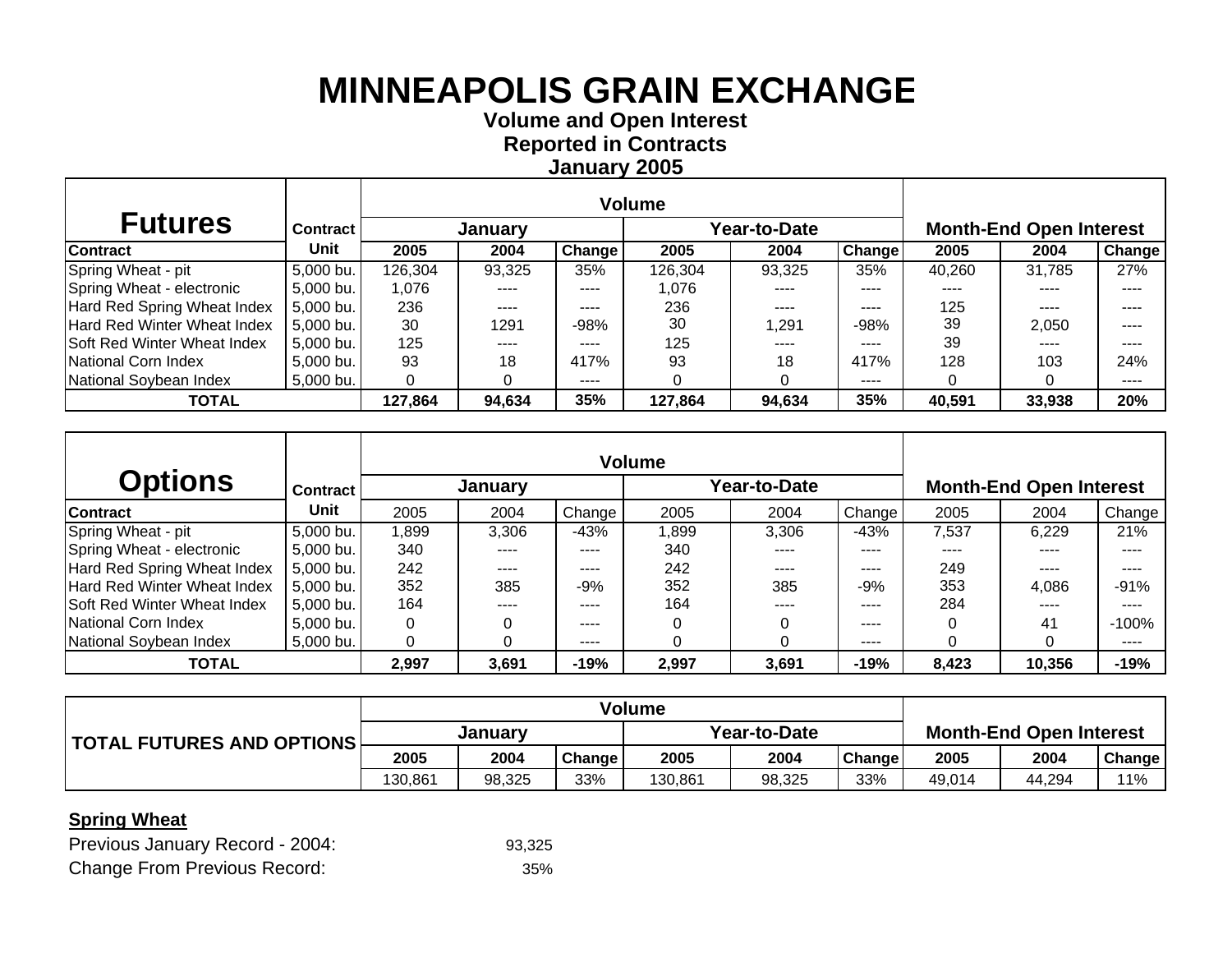**Volume and O pen Interest Re ported in Contracts Januar y 2005**

| <b>Futures</b>              | <b>Contract</b> |         | January |        | Year-to-Date |        |               | <b>Month-End Open Interest</b> |        |        |  |
|-----------------------------|-----------------|---------|---------|--------|--------------|--------|---------------|--------------------------------|--------|--------|--|
| Contract                    | Unit            | 2005    | 2004    | Change | 2005         | 2004   | <b>Change</b> | 2005                           | 2004   | Change |  |
| Spring Wheat - pit          | 5,000 bu.       | 126,304 | 93,325  | 35%    | 126,304      | 93,325 | 35%           | 40,260                         | 31.785 | 27%    |  |
| Spring Wheat - electronic   | 5,000 bu.       | 1.076   |         | ----   | 1.076        |        | ----          | ----                           |        | ----   |  |
| Hard Red Spring Wheat Index | 5,000 bu.       | 236     | ----    | ----   | 236          | ----   | $---$         | 125                            | ----   | ----   |  |
| Hard Red Winter Wheat Index | 5,000 bu.       | 30      | 1291    | $-98%$ | 30           | 1.291  | $-98%$        | 39                             | 2.050  | ----   |  |
| Soft Red Winter Wheat Index | 5,000 bu.       | 125     |         | ----   | 125          | ----   | ----          | 39                             | ----   | ----   |  |
| National Corn Index         | 5,000 bu.       | 93      | 18      | 417%   | 93           | 18     | 417%          | 128                            | 103    | 24%    |  |
| National Soybean Index      | $5,000$ bu.     |         |         | ----   |              |        | ----          |                                |        | ----   |  |
| <b>TOTAL</b>                |                 | 127,864 | 94,634  | 35%    | 127,864      | 94,634 | 35%           | 40,591                         | 33,938 | 20%    |  |

| <b>Options</b>              | <b>Contract</b> |       | January |        |       | rear-to-Date |        | <b>Month-End Open Interest</b> |        |         |  |
|-----------------------------|-----------------|-------|---------|--------|-------|--------------|--------|--------------------------------|--------|---------|--|
| <b>Contract</b>             | Unit            | 2005  | 2004    | Change | 2005  | 2004         | Change | 2005                           | 2004   | Change  |  |
| Spring Wheat - pit          | 5,000 bu.       | ,899  | 3,306   | $-43%$ | 1,899 | 3.306        | -43%   | 7,537                          | 6.229  | 21%     |  |
| Spring Wheat - electronic   | 5,000 bu.       | 340   | ----    | ----   | 340   | ----         | ----   | ----                           | ----   | ----    |  |
| Hard Red Spring Wheat Index | 5,000 bu.       | 242   | ----    | ----   | 242   | ----         | ----   | 249                            | ----   | ----    |  |
| Hard Red Winter Wheat Index | 5,000 bu.       | 352   | 385     | $-9%$  | 352   | 385          | $-9%$  | 353                            | 4.086  | $-91%$  |  |
| Soft Red Winter Wheat Index | 5,000 bu.       | 164   | ----    | ----   | 164   | ----         | ----   | 284                            | ----   |         |  |
| National Corn Index         | 5,000 bu.       | 0     |         | ----   |       |              | ----   | 0                              | 41     | $-100%$ |  |
| National Soybean Index      | 5,000 bu.       | 0     |         | ----   |       |              | ----   | 0                              |        | ----    |  |
| <b>TOTAL</b>                |                 | 2,997 | 3,691   | $-19%$ | 2,997 | 3,691        | $-19%$ | 8,423                          | 10,356 | $-19%$  |  |

| TOTAL FUTURES AND OPTIONS | Januarv |        |        | Year-to-Date |        |               | <b>Month-End Open Interest</b> |        |        |
|---------------------------|---------|--------|--------|--------------|--------|---------------|--------------------------------|--------|--------|
|                           | 2005    | 2004   | Change | 2005         | 2004   | <b>Change</b> | 2005                           | 2004   | Change |
|                           | 130.861 | 98.325 | 33%    | 130,861      | 98,325 | 33%           | 49.014                         | 44.294 | 11%    |

#### **Spring Wheat**

| Previous January Record - 2004:     | 93,325 |
|-------------------------------------|--------|
| <b>Change From Previous Record:</b> | 35%    |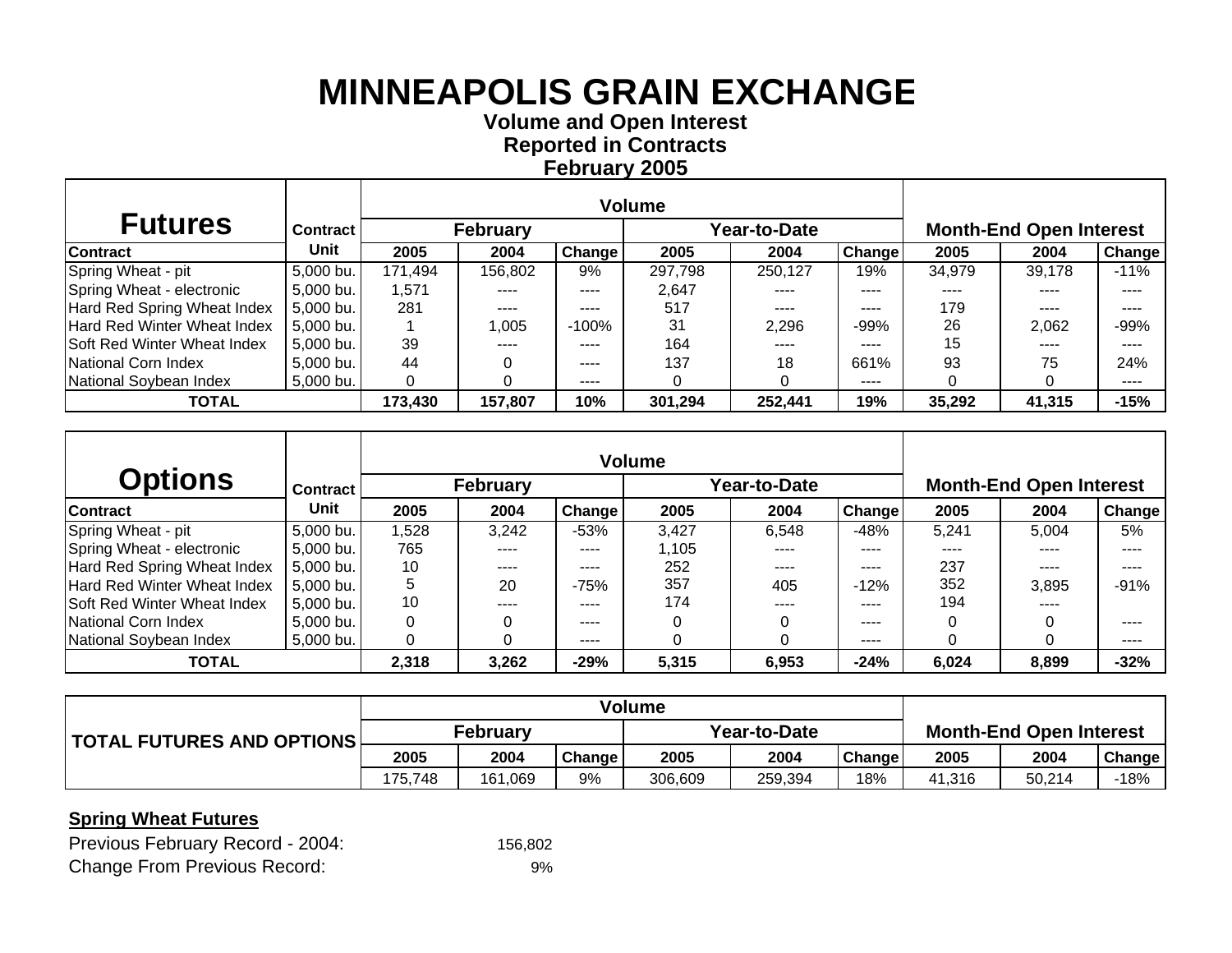**Volume and O pen Interest Re ported in Contracts Februar y 2005**

| <b>Futures</b>              | <b>Contract</b> I |         | <b>February</b> |               |         | Year-to-Date |        |        | <b>Month-End Open Interest</b> |               |
|-----------------------------|-------------------|---------|-----------------|---------------|---------|--------------|--------|--------|--------------------------------|---------------|
| <b>Contract</b>             | Unit              | 2005    | 2004            | <b>Change</b> | 2005    | 2004         | Change | 2005   | 2004                           | <b>Change</b> |
| Spring Wheat - pit          | 5,000 bu.         | 171,494 | 156,802         | 9%            | 297,798 | 250,127      | 19%    | 34,979 | 39,178                         | $-11%$        |
| Spring Wheat - electronic   | $5,000$ bu.       | 1,571   | ----            | $---$         | 2,647   | ----         | ----   |        |                                | ----          |
| Hard Red Spring Wheat Index | 5,000 bu.         | 281     | ----            | $---$         | 517     | $---$        | ----   | 179    | ----                           |               |
| Hard Red Winter Wheat Index | $5,000$ bu.       |         | 1,005           | -100%         | 31      | 2.296        | $-99%$ | 26     | 2,062                          | $-99%$        |
| Soft Red Winter Wheat Index | $5,000$ bu.       | 39      | ----            | ----          | 164     | $---$        | ----   | 15     | ----                           | ----          |
| National Corn Index         | 5,000 bu.         | 44      |                 | $- - - -$     | 137     | 18           | 661%   | 93     | 75                             | 24%           |
| National Soybean Index      | 5,000 bu.         |         |                 | ----          |         |              | ----   |        |                                | ----          |
| <b>TOTAL</b>                |                   | 173,430 | 157,807         | 10%           | 301,294 | 252,441      | 19%    | 35,292 | 41,315                         | $-15%$        |

|                             |                 |          |                 |        | <b>Volume</b> |             |               |          |                                |        |
|-----------------------------|-----------------|----------|-----------------|--------|---------------|-------------|---------------|----------|--------------------------------|--------|
| <b>Options</b>              | <b>Contract</b> |          | <b>February</b> |        |               | ear-to-Date |               |          | <b>Month-End Open Interest</b> |        |
| <b>Contract</b>             | Unit            | 2005     | 2004            | Change | 2005          | 2004        | <b>Change</b> | 2005     | 2004                           | Change |
| Spring Wheat - pit          | 5,000 bu.       | .528     | 3,242           | $-53%$ | 3.427         | 6.548       | $-48%$        | 5,241    | 5.004                          | 5%     |
| Spring Wheat - electronic   | 5,000 bu.       | 765      |                 | ----   | 1,105         | ----        | ----          | ----     |                                | ----   |
| Hard Red Spring Wheat Index | 5,000 bu.       | 10       | ----            | ----   | 252           | $---$       | ----          | 237      | $---$                          | ----   |
| Hard Red Winter Wheat Index | 5,000 bu.       | 5        | 20              | $-75%$ | 357           | 405         | $-12%$        | 352      | 3,895                          | $-91%$ |
| Soft Red Winter Wheat Index | 5,000 bu.       | 10       | ----            | ----   | 174           | ----        | ----          | 194      | ----                           |        |
| National Corn Index         | 5,000 bu.       | $\Omega$ |                 | ----   |               |             | ----          | 0        |                                |        |
| National Soybean Index      | 5,000 bu.       | 0        |                 | ----   |               |             | ----          | $\Omega$ |                                | ----   |
| <b>TOTAL</b>                |                 | 2,318    | 3,262           | $-29%$ | 5,315         | 6,953       | $-24%$        | 6,024    | 8,899                          | $-32%$ |

|                           | Volume          |         |        |              |         |               |                                |        |               |
|---------------------------|-----------------|---------|--------|--------------|---------|---------------|--------------------------------|--------|---------------|
| TOTAL FUTURES AND OPTIONS | <b>February</b> |         |        | Year-to-Date |         |               | <b>Month-End Open Interest</b> |        |               |
|                           | 2005            | 2004    | Change | 2005         | 2004    | <b>Change</b> | 2005                           | 2004   | <b>Change</b> |
|                           | 175.748         | 161.069 | 9%     | 306.609      | 259.394 | 18%           | 41.316                         | 50.214 | -18%          |

### **Spring Wheat Futures**

| Previous February Record - 2004:    | 156.802 |
|-------------------------------------|---------|
| <b>Change From Previous Record:</b> | 9%      |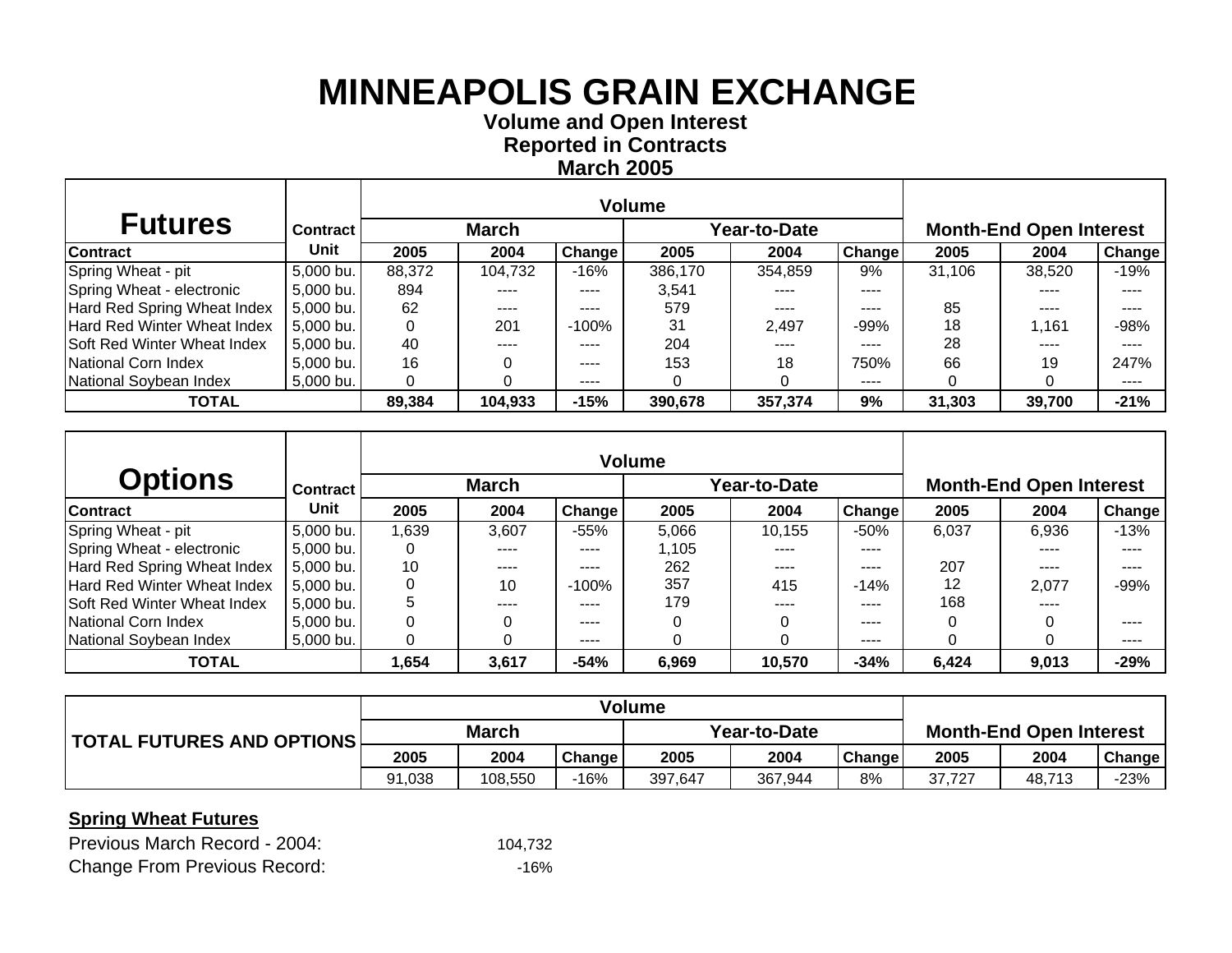**Volume and O pen Interest Re ported in Contracts March 2005**

| <b>Futures</b>                     | <b>Contract</b> |        | <b>March</b> |           |         | Year-to-Date |               |        | <b>Month-End Open Interest</b> |               |
|------------------------------------|-----------------|--------|--------------|-----------|---------|--------------|---------------|--------|--------------------------------|---------------|
| Contract                           | Unit            | 2005   | 2004         | Change    | 2005    | 2004         | <b>Change</b> | 2005   | 2004                           | <b>Change</b> |
| Spring Wheat - pit                 | 5,000 bu.       | 88,372 | 104,732      | $-16%$    | 386.170 | 354.859      | 9%            | 31,106 | 38,520                         | $-19%$        |
| Spring Wheat - electronic          | 5,000 bu.       | 894    |              | ----      | 3,541   |              | ----          |        | ----                           | ----          |
| Hard Red Spring Wheat Index        | 5,000 bu.       | 62     | ----         | $---$     | 579     | ----         | ----          | 85     | ----                           | ----          |
| <b>Hard Red Winter Wheat Index</b> | $5,000$ bu.     |        | 201          | -100%     | 31      | 2.497        | $-99%$        | 18     | 1.161                          | $-98%$        |
| Soft Red Winter Wheat Index        | 5,000 bu.       | 40     | ----         | $- - - -$ | 204     | ----         | ----          | 28     | ----                           | ----          |
| National Corn Index                | $5,000$ bu.     | 16     |              | $\cdots$  | 153     | 18           | 750%          | 66     | 19                             | 247%          |
| National Soybean Index             | $5,000$ bu.     |        |              | $- - - -$ |         |              | ----          | 0      |                                | ----          |
| <b>TOTAL</b>                       |                 | 89,384 | 104,933      | $-15%$    | 390,678 | 357,374      | 9%            | 31,303 | 39,700                         | $-21%$        |

|                             |                 |      |              |               | <b>Volume</b> |              |               |       |                                |        |
|-----------------------------|-----------------|------|--------------|---------------|---------------|--------------|---------------|-------|--------------------------------|--------|
| <b>Options</b>              | <b>Contract</b> |      | <b>March</b> |               |               | rear-to-Date |               |       | <b>Month-End Open Interest</b> |        |
| <b>Contract</b>             | Unit            | 2005 | 2004         | <b>Change</b> | 2005          | 2004         | <b>Change</b> | 2005  | 2004                           | Change |
| Spring Wheat - pit          | 5,000 bu.       | ,639 | 3,607        | $-55%$        | 5.066         | 10,155       | $-50%$        | 6,037 | 6.936                          | $-13%$ |
| Spring Wheat - electronic   | 5,000 bu.       | 0    |              | ----          | 1,105         | ----         | ----          |       |                                |        |
| Hard Red Spring Wheat Index | 5,000 bu.       | 10   | ----         | ----          | 262           | $---$        | ----          | 207   | $\frac{1}{2}$                  | ----   |
| Hard Red Winter Wheat Index | 5,000 bu.       | 0    | 10           | $-100%$       | 357           | 415          | $-14%$        | 12    | 2,077                          | $-99%$ |
| Soft Red Winter Wheat Index | 5,000 bu.       | 5    | ----         | ----          | 179           | ----         | ----          | 168   | ----                           |        |
| National Corn Index         | 5,000 bu.       | 0    |              | ----          |               |              | ----          | 0     |                                |        |
| National Soybean Index      | 5,000 bu.       | 0    |              | ----          |               |              | ----          | 0     |                                | ----   |
| <b>TOTAL</b>                |                 | .654 | 3,617        | $-54%$        | 6,969         | 10,570       | $-34%$        | 6,424 | 9,013                          | $-29%$ |

|                           | <b>Volume</b> |         |        |              |         |        |                                |        |        |
|---------------------------|---------------|---------|--------|--------------|---------|--------|--------------------------------|--------|--------|
| TOTAL FUTURES AND OPTIONS | <b>March</b>  |         |        | Year-to-Date |         |        | <b>Month-End Open Interest</b> |        |        |
|                           | 2005          | 2004    | Change | 2005         | 2004    | Change | 2005                           | 2004   | Change |
|                           | 91,038        | 108.550 | $-16%$ | 397,647      | 367.944 | 8%     | 37.727                         | 48.713 | $-23%$ |

#### **Spring Wheat Futures**

| Previous March Record - 2004:       | 104.732 |
|-------------------------------------|---------|
| <b>Change From Previous Record:</b> | -16%    |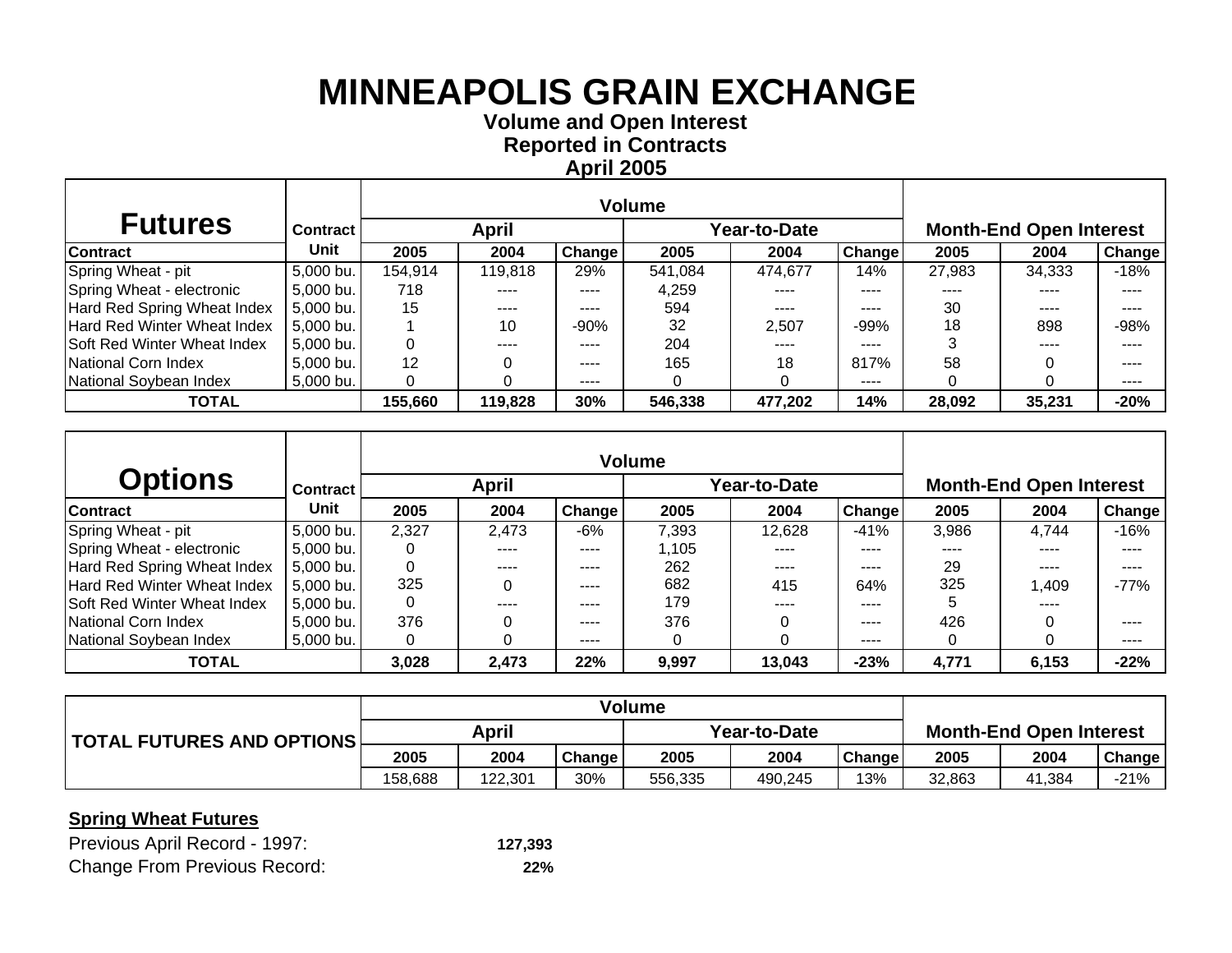**Volume and O pen Interest Re ported in Contracts April 2005**

| <b>Futures</b>              | <b>Contract</b> |         | April   |        |         | Year-to-Date |        |        | <b>Month-End Open Interest</b> |        |
|-----------------------------|-----------------|---------|---------|--------|---------|--------------|--------|--------|--------------------------------|--------|
| <b>Contract</b>             | Unit            | 2005    | 2004    | Change | 2005    | 2004         | Change | 2005   | 2004                           | Change |
| Spring Wheat - pit          | 5,000 bu.       | 154,914 | 119,818 | 29%    | 541.084 | 474.677      | 14%    | 27,983 | 34,333                         | $-18%$ |
| Spring Wheat - electronic   | 5,000 bu.       | 718     | ----    | ----   | 4,259   | ----         | ----   | ----   | ----                           |        |
| Hard Red Spring Wheat Index | 5,000 bu.       | 15      | ----    | ----   | 594     | $- - - -$    | ----   | 30     | ----                           |        |
| Hard Red Winter Wheat Index | $5,000$ bu.     |         | 10      | $-90%$ | 32      | 2.507        | $-99%$ | 18     | 898                            | $-98%$ |
| Soft Red Winter Wheat Index | $5,000$ bu.     |         | ----    | ----   | 204     | ----         | ----   |        | ----                           | ----   |
| National Corn Index         | $5,000$ bu.     | 12      |         | ----   | 165     | 18           | 817%   | 58     |                                | ----   |
| National Soybean Index      | 5,000 bu.       |         |         | ----   |         |              | ----   |        |                                | ----   |
| <b>TOTAL</b>                |                 | 155,660 | 119,828 | 30%    | 546,338 | 477,202      | 14%    | 28,092 | 35,231                         | $-20%$ |

| <b>Options</b>              | <b>Contract</b> |          | <b>April</b> |               |       | /ear-to-Date |               |       | <b>Month-End Open Interest</b> |        |
|-----------------------------|-----------------|----------|--------------|---------------|-------|--------------|---------------|-------|--------------------------------|--------|
| <b>Contract</b>             | Unit            | 2005     | 2004         | <b>Change</b> | 2005  | 2004         | <b>Change</b> | 2005  | 2004                           | Change |
| Spring Wheat - pit          | 5,000 bu.       | 2,327    | 2,473        | -6%           | 7,393 | 12.628       | $-41%$        | 3,986 | 4.744                          | $-16%$ |
| Spring Wheat - electronic   | 5,000 bu.       | O        | ----         | ----          | .105  | ----         | ----          | ----  |                                |        |
| Hard Red Spring Wheat Index | 5,000 bu.       | 0        | ----         | ----          | 262   | ----         | ----          | 29    | ----                           | ----   |
| Hard Red Winter Wheat Index | 5,000 bu.       | 325      |              | ----          | 682   | 415          | 64%           | 325   | 1.409                          | $-77%$ |
| Soft Red Winter Wheat Index | 5,000 bu.       | $\Omega$ | ----         | ----          | 179   | ----         | ----          | 5     | ----                           |        |
| National Corn Index         | 5,000 bu.       | 376      |              | ----          | 376   |              | ----          | 426   |                                |        |
| National Soybean Index      | 5,000 bu.       | 0        |              | ----          |       |              | ----          | 0     |                                | ----   |
| <b>TOTAL</b>                |                 | 3,028    | 2,473        | 22%           | 9,997 | 13,043       | $-23%$        | 4,771 | 6,153                          | $-22%$ |

|                                   |         |         |        | Volume       |         |               |                                |        |               |
|-----------------------------------|---------|---------|--------|--------------|---------|---------------|--------------------------------|--------|---------------|
| <b>TOTAL FUTURES AND OPTIONS!</b> | April   |         |        | Year-to-Date |         |               | <b>Month-End Open Interest</b> |        |               |
|                                   | 2005    | 2004    | Change | 2005         | 2004    | <b>Change</b> | 2005                           | 2004   | <b>Change</b> |
|                                   | 158,688 | 122,301 | 30%    | 556,335      | 490,245 | 13%           | 32,863                         | 41,384 | -21%          |

#### **Spring Wheat Futures**

| Previous April Record - 1997:       | 127,393 |
|-------------------------------------|---------|
| <b>Change From Previous Record:</b> | 22%     |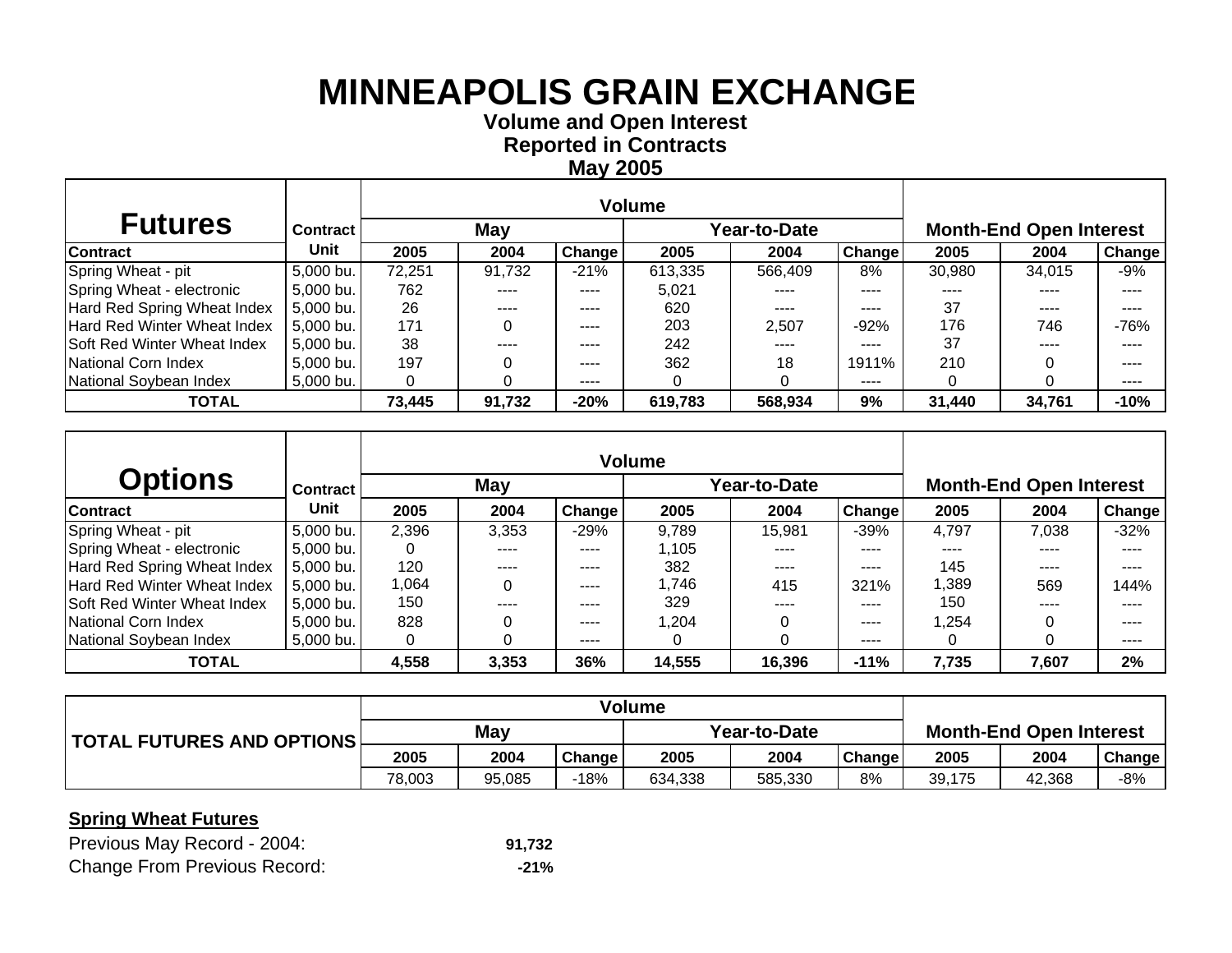**Volume and O pen Interest Re ported in Contracts Ma y 2005**

| <b>Futures</b>               | <b>Contract</b> |        | May    |               | Year-to-Date |         |               | <b>Month-End Open Interest</b> |        |               |  |
|------------------------------|-----------------|--------|--------|---------------|--------------|---------|---------------|--------------------------------|--------|---------------|--|
| Contract                     | Unit            | 2005   | 2004   | <b>Change</b> | 2005         | 2004    | <b>Change</b> | 2005                           | 2004   | <b>Change</b> |  |
| Spring Wheat - pit           | 5,000 bu.       | 72,251 | 91,732 | $-21%$        | 613,335      | 566.409 | 8%            | 30,980                         | 34.015 | -9%           |  |
| Spring Wheat - electronic    | 5,000 bu.       | 762    |        | ----          | 5.021        |         | ----          |                                | ----   | ----          |  |
| Hard Red Spring Wheat Index  | 5,000 bu.       | 26     | ----   | $- - - -$     | 620          | ----    | ----          | 37                             | ----   | ----          |  |
| Hard Red Winter Wheat Index  | $5,000$ bu.     | 171    |        | $- - - -$     | 203          | 2,507   | $-92%$        | 176                            | 746    | $-76%$        |  |
| ISoft Red Winter Wheat Index | 5,000 bu.       | 38     |        | $- - - -$     | 242          | ----    | ----          | 37                             | ----   | ----          |  |
| National Corn Index          | $5,000$ bu.     | 197    |        | $\cdots$      | 362          | 18      | 1911%         | 210                            |        | ----          |  |
| National Soybean Index       | $5,000$ bu.     |        |        | $- - - -$     |              |         | ----          | 0                              |        | ----          |  |
| <b>TOTAL</b>                 |                 | 73,445 | 91,732 | $-20%$        | 619,783      | 568,934 | 9%            | 31,440                         | 34,761 | $-10%$        |  |

|                             |                 |       |       |               | <b>Volume</b> |              |               |        |                                |        |
|-----------------------------|-----------------|-------|-------|---------------|---------------|--------------|---------------|--------|--------------------------------|--------|
| <b>Options</b>              | <b>Contract</b> |       | May   |               |               | rear-to-Date |               |        | <b>Month-End Open Interest</b> |        |
| <b>Contract</b>             | Unit            | 2005  | 2004  | <b>Change</b> | 2005          | 2004         | <b>Change</b> | 2005   | 2004                           | Change |
| Spring Wheat - pit          | 5,000 bu.       | 2,396 | 3,353 | $-29%$        | 9,789         | 15,981       | $-39%$        | 4,797  | 7,038                          | $-32%$ |
| Spring Wheat - electronic   | 5,000 bu.       | 0     | ----  | ----          | 1.105         | ----         | ----          | ----   | ----                           | ----   |
| Hard Red Spring Wheat Index | 5,000 bu.       | 120   | ----  | ----          | 382           | ----         | ----          | 145    | ----                           | ----   |
| Hard Red Winter Wheat Index | 5,000 bu.       | 1.064 |       | ----          | 1,746         | 415          | 321%          | 1,389  | 569                            | 144%   |
| Soft Red Winter Wheat Index | 5,000 bu.       | 150   |       | ----          | 329           | ----         | ----          | 150    | ----                           |        |
| National Corn Index         | 5,000 bu.       | 828   |       | ----          | 1.204         |              | ----          | 254. ا |                                | ----   |
| National Soybean Index      | 5,000 bu.       | 0     |       | ----          |               |              | ----          | 0      |                                | ----   |
| <b>TOTAL</b>                |                 | 4,558 | 3,353 | 36%           | 14,555        | 16,396       | $-11%$        | 7,735  | 7,607                          | 2%     |

|                           |            |        |        | <b>Volume</b> |         |               |                                |        |               |
|---------------------------|------------|--------|--------|---------------|---------|---------------|--------------------------------|--------|---------------|
| TOTAL FUTURES AND OPTIONS | <b>May</b> |        |        | Year-to-Date  |         |               | <b>Month-End Open Interest</b> |        |               |
|                           | 2005       | 2004   | Change | 2005          | 2004    | <b>Change</b> | 2005                           | 2004   | <b>Change</b> |
|                           | 78,003     | 95,085 | -18%   | 634,338       | 585,330 | 8%            | 39,175                         | 42,368 | -8%           |

#### **Spring Wheat Futures**

| Previous May Record - 2004:         | 91.732 |
|-------------------------------------|--------|
| <b>Change From Previous Record:</b> | -21%   |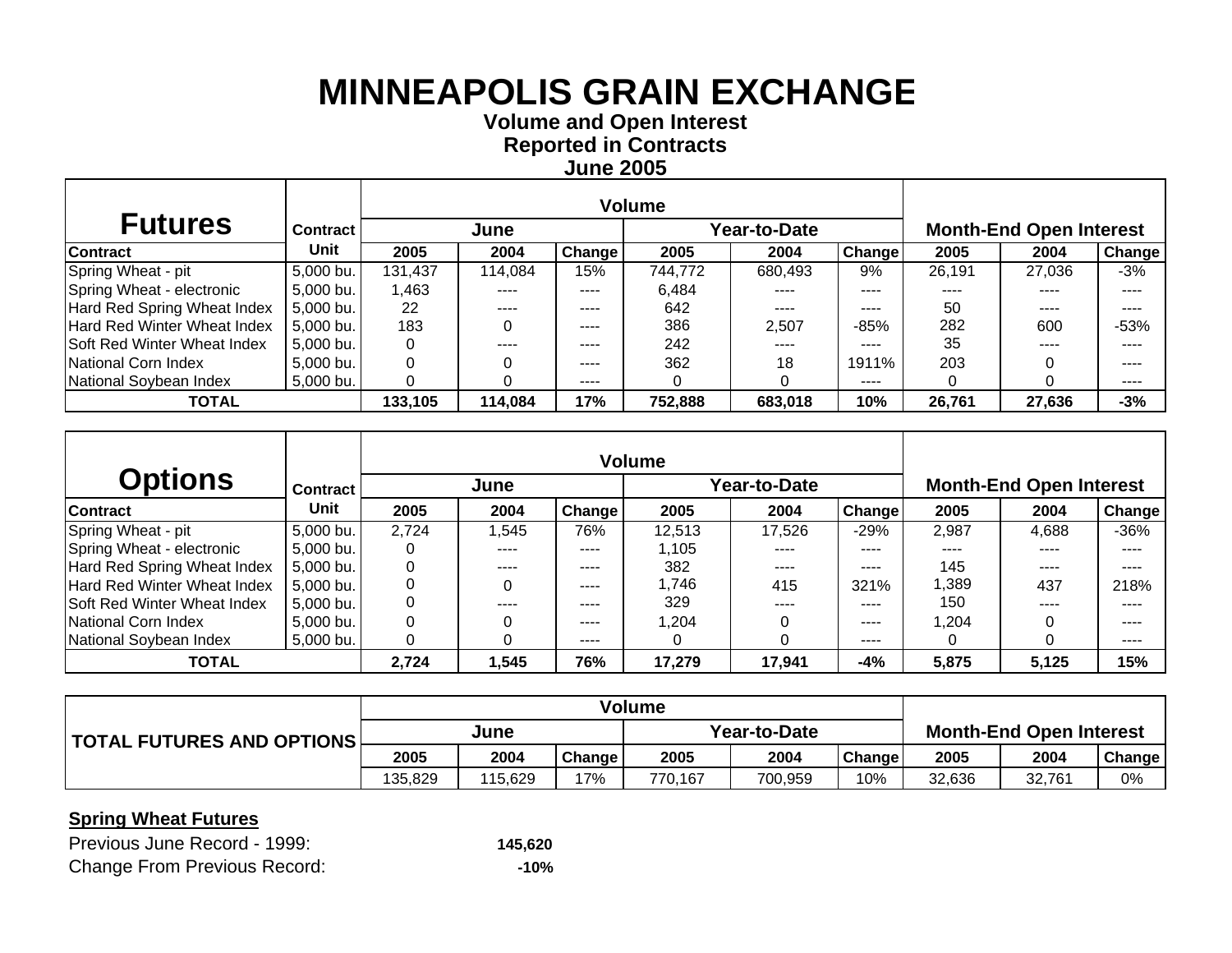**Volume and O pen Interest Re ported in Contracts June 2005**

| <b>Futures</b>              | <b>Contract</b> |         | June    |               | Year-to-Date |         |        | <b>Month-End Open Interest</b> |        |               |  |
|-----------------------------|-----------------|---------|---------|---------------|--------------|---------|--------|--------------------------------|--------|---------------|--|
| <b>Contract</b>             | Unit            | 2005    | 2004    | <b>Change</b> | 2005         | 2004    | Change | 2005                           | 2004   | <b>Change</b> |  |
| Spring Wheat - pit          | 5,000 bu.       | 131,437 | 114,084 | 15%           | 744,772      | 680,493 | 9%     | 26,191                         | 27,036 | -3%           |  |
| Spring Wheat - electronic   | 5,000 bu.       | 1.463   |         | ----          | 6,484        |         | ----   |                                |        |               |  |
| Hard Red Spring Wheat Index | 5,000 bu.       | 22      |         | ----          | 642          | $---$   | ----   | 50                             | ----   | ----          |  |
| Hard Red Winter Wheat Index | $5,000$ bu.     | 183     |         | ----          | 386          | 2.507   | $-85%$ | 282                            | 600    | $-53%$        |  |
| Soft Red Winter Wheat Index | $5,000$ bu.     |         |         | ----          | 242          | ----    | ----   | 35                             |        | ----          |  |
| National Corn Index         | 5,000 bu.       |         |         | $\cdots$      | 362          | 18      | 1911%  | 203                            |        | ----          |  |
| National Soybean Index      | 5,000 bu.       |         |         | ----          |              |         | ----   |                                |        | ----          |  |
| <b>TOTAL</b>                |                 | 133,105 | 114,084 | 17%           | 752,888      | 683,018 | 10%    | 26,761                         | 27,636 | $-3%$         |  |

|                             |                 |       |       |               | <b>Volume</b> |              |               |       |                                |        |
|-----------------------------|-----------------|-------|-------|---------------|---------------|--------------|---------------|-------|--------------------------------|--------|
| <b>Options</b>              | <b>Contract</b> |       | June  |               |               | /ear-to-Date |               |       | <b>Month-End Open Interest</b> |        |
| <b>Contract</b>             | Unit            | 2005  | 2004  | <b>Change</b> | 2005          | 2004         | <b>Change</b> | 2005  | 2004                           | Change |
| Spring Wheat - pit          | 5,000 bu.       | 2,724 | .545  | 76%           | 12.513        | 17,526       | $-29%$        | 2,987 | 4.688                          | $-36%$ |
| Spring Wheat - electronic   | 5,000 bu.       | 0     | ----  | ----          | 1.105         | ----         | ----          | ----  |                                | ----   |
| Hard Red Spring Wheat Index | 5,000 bu.       | 0     | ----  | ----          | 382           | ----         | ----          | 145   | ----                           | ----   |
| Hard Red Winter Wheat Index | 5,000 bu.       |       |       | ----          | 1.746         | 415          | 321%          | 1,389 | 437                            | 218%   |
| Soft Red Winter Wheat Index | 5,000 bu.       | 0     |       | ----          | 329           | ----         | ----          | 150   | ----                           |        |
| National Corn Index         | 5,000 bu.       | 0     |       | ----          | 1.204         |              | ----          | 1.204 |                                | ----   |
| National Soybean Index      | 5,000 bu.       | 0     |       | ----          |               |              | ----          | 0     |                                | ----   |
| <b>TOTAL</b>                |                 | 2,724 | 1,545 | 76%           | 17,279        | 17,941       | -4%           | 5,875 | 5,125                          | 15%    |

|                           | <b>Volume</b> |         |        |              |         |               |                                |        |        |
|---------------------------|---------------|---------|--------|--------------|---------|---------------|--------------------------------|--------|--------|
| TOTAL FUTURES AND OPTIONS | June          |         |        | Year-to-Date |         |               | <b>Month-End Open Interest</b> |        |        |
|                           | 2005          | 2004    | Change | 2005         | 2004    | <b>Change</b> | 2005                           | 2004   | Change |
|                           | 135,829       | '15.629 | 17%    | 770.167      | 700.959 | 10%           | 32,636                         | 32.761 | 0%     |

| Previous June Record - 1999:        | 145,620 |
|-------------------------------------|---------|
| <b>Change From Previous Record:</b> | -10%    |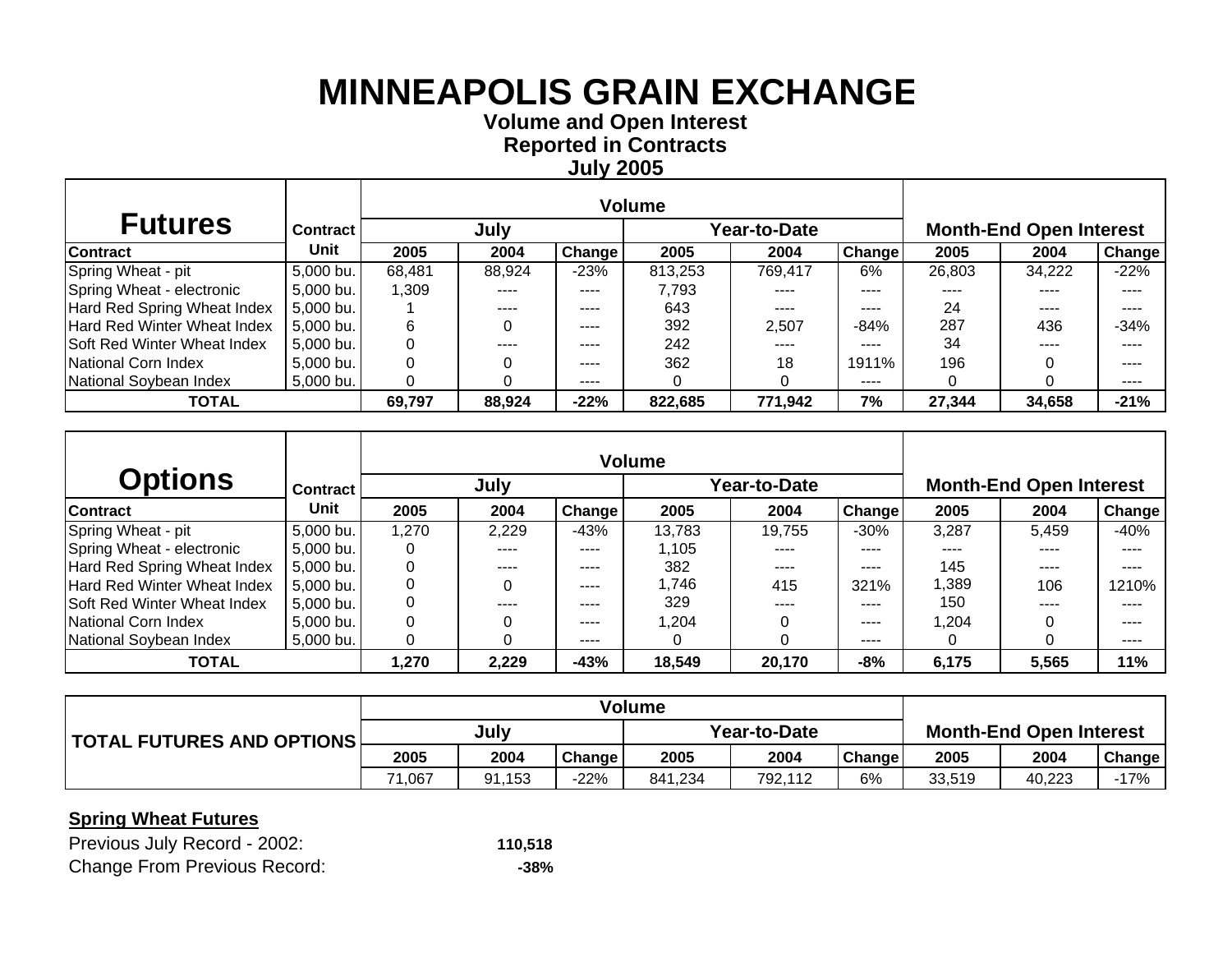**Volume and O pen Interest Re ported in Contracts Jul y 2005**

| <b>Futures</b>                     | <b>Contract</b> I |        | July   |               |         | Year-to-Date |               | <b>Month-End Open Interest</b> |        |               |  |
|------------------------------------|-------------------|--------|--------|---------------|---------|--------------|---------------|--------------------------------|--------|---------------|--|
| Contract                           | Unit              | 2005   | 2004   | <b>Change</b> | 2005    | 2004         | <b>Change</b> | 2005                           | 2004   | <b>Change</b> |  |
| Spring Wheat - pit                 | 5,000 bu.         | 68,481 | 88,924 | $-23%$        | 813,253 | 769.417      | 6%            | 26,803                         | 34,222 | $-22%$        |  |
| Spring Wheat - electronic          | 5,000 bu.         | .309   |        | ----          | 7.793   |              | ----          |                                |        | ----          |  |
| Hard Red Spring Wheat Index        | $5,000$ bu.       |        | ----   | $- - - -$     | 643     | ----         | ----          | 24                             | ----   | ----          |  |
| <b>Hard Red Winter Wheat Index</b> | 5,000 bu.         | 6      |        | $- - - -$     | 392     | 2,507        | $-84%$        | 287                            | 436    | $-34%$        |  |
| Soft Red Winter Wheat Index        | 5,000 bu.         |        |        | $- - - -$     | 242     | ----         | ----          | 34                             | ----   | ----          |  |
| National Corn Index                | $5,000$ bu.       |        |        | $\cdots$      | 362     | 18           | 1911%         | 196                            |        | ----          |  |
| National Soybean Index             | $5,000$ bu.       |        |        | $- - - -$     |         |              | ----          | 0                              |        | ----          |  |
| <b>TOTAL</b>                       |                   | 69,797 | 88,924 | $-22%$        | 822,685 | 771,942      | 7%            | 27,344                         | 34,658 | $-21%$        |  |

| <b>Options</b>              | <b>Contract</b> |       | July  |        |        | <b>Year-to-Date</b> |               | <b>Month-End Open Interest</b> |       |        |  |
|-----------------------------|-----------------|-------|-------|--------|--------|---------------------|---------------|--------------------------------|-------|--------|--|
| <b>Contract</b>             | Unit            | 2005  | 2004  | Change | 2005   | 2004                | <b>Change</b> | 2005                           | 2004  | Change |  |
| Spring Wheat - pit          | 5,000 bu.       | 1,270 | 2,229 | $-43%$ | 13,783 | 19,755              | $-30%$        | 3,287                          | 5.459 | $-40%$ |  |
| Spring Wheat - electronic   | 5,000 bu.       | 0     | ----  | ----   | 1.105  | ----                | ----          | ----                           | ----  |        |  |
| Hard Red Spring Wheat Index | 5,000 bu.       | 0     | ----  | ----   | 382    | ----                | ----          | 145                            | ----  | ----   |  |
| Hard Red Winter Wheat Index | 5,000 bu.       |       |       | ----   | 1,746  | 415                 | 321%          | 1,389                          | 106   | 1210%  |  |
| Soft Red Winter Wheat Index | 5,000 bu.       | 0     | ----  | ----   | 329    | ----                | ----          | 150                            | ----  |        |  |
| National Corn Index         | 5,000 bu.       | 0     |       | ----   | 1.204  |                     | ----          | 1.204                          |       | ----   |  |
| National Soybean Index      | 5,000 bu.       | 0     |       | ----   |        |                     | ----          | 0                              |       | ----   |  |
| <b>TOTAL</b>                |                 | ,270  | 2,229 | $-43%$ | 18,549 | 20,170              | -8%           | 6,175                          | 5,565 | 11%    |  |

|                                   | <b>Volume</b> |        |        |              |         |        |                                |        |               |
|-----------------------------------|---------------|--------|--------|--------------|---------|--------|--------------------------------|--------|---------------|
| <b>TOTAL FUTURES AND OPTIONS!</b> | July          |        |        | Year-to-Date |         |        | <b>Month-End Open Interest</b> |        |               |
|                                   | 2005          | 2004   | Change | 2005         | 2004    | Change | 2005                           | 2004   | <b>Change</b> |
|                                   | 067, ا        | 91.153 | $-22%$ | 841.234      | 792,112 | 6%     | 33.519                         | 40.223 | -17%          |

| Previous July Record - 2002:        | 110,518 |
|-------------------------------------|---------|
| <b>Change From Previous Record:</b> | -38%    |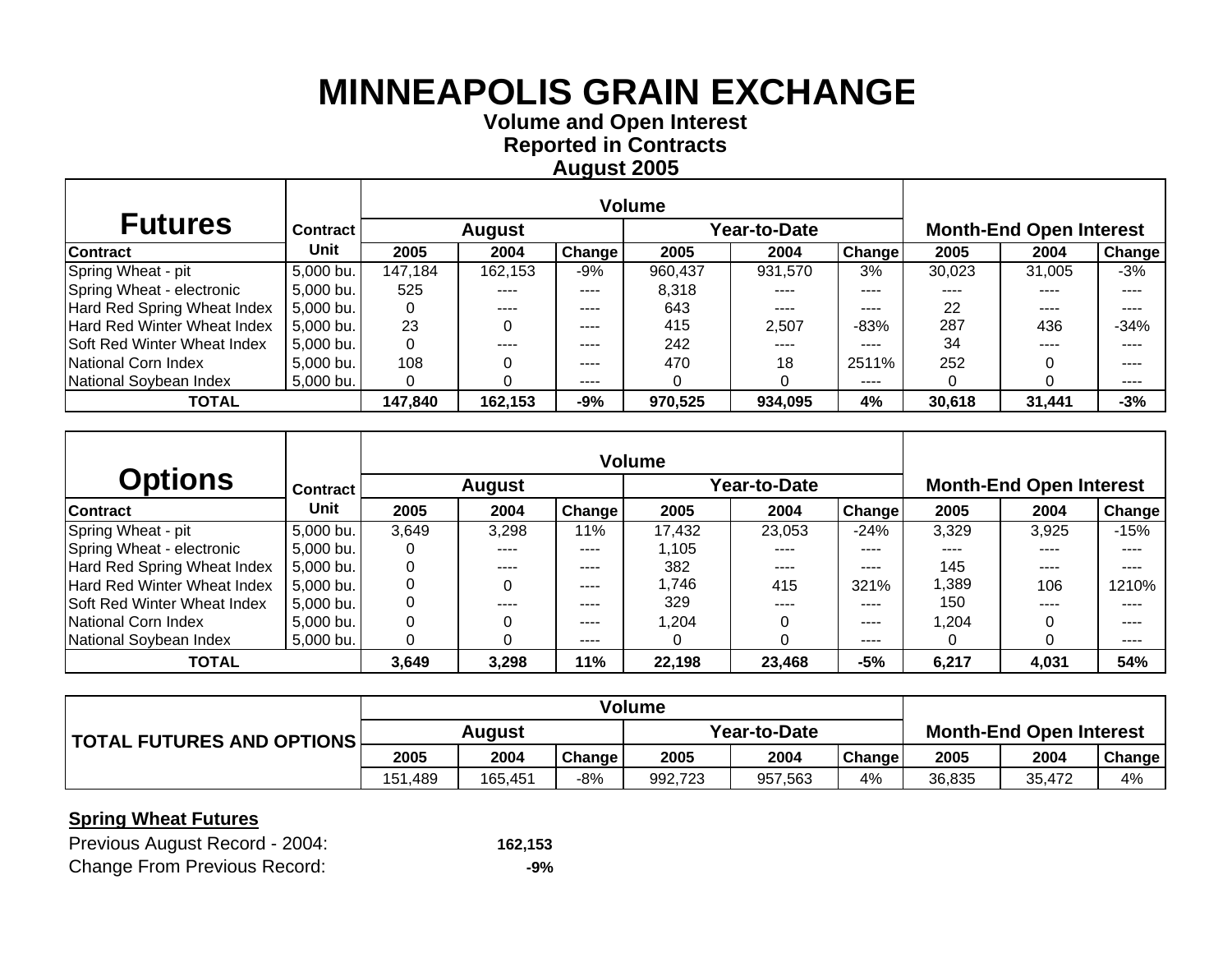**Volume and O pen Interest Re ported in Contracts A u gust 2005**

| <b>Futures</b>                     | <b>Contract</b> I |         | <b>August</b> |           |         | Year-to-Date | <b>Month-End Open Interest</b> |        |        |               |
|------------------------------------|-------------------|---------|---------------|-----------|---------|--------------|--------------------------------|--------|--------|---------------|
| Contract                           | Unit              | 2005    | 2004          | Change    | 2005    | 2004         | <b>Change</b>                  | 2005   | 2004   | <b>Change</b> |
| Spring Wheat - pit                 | 5,000 bu.         | 147,184 | 162,153       | -9%       | 960,437 | 931.570      | 3%                             | 30,023 | 31,005 | -3%           |
| Spring Wheat - electronic          | $5,000$ bu.       | 525     |               | $---$     | 8,318   |              | ----                           |        |        | ----          |
| Hard Red Spring Wheat Index        | $5,000$ bu.       |         | ----          | $- - - -$ | 643     | ----         | ----                           | 22     | ----   | ----          |
| <b>Hard Red Winter Wheat Index</b> | $5,000$ bu.       | 23      |               | $- - - -$ | 415     | 2,507        | $-83%$                         | 287    | 436    | $-34%$        |
| Soft Red Winter Wheat Index        | $5,000$ bu.       |         |               | $- - - -$ | 242     | ----         | ----                           | 34     | ----   | ----          |
| National Corn Index                | 5,000 bu.         | 108     |               | $\cdots$  | 470     | 18           | 2511%                          | 252    |        | ----          |
| National Soybean Index             | $5,000$ bu.       |         |               | $- - - -$ |         |              | ----                           |        |        | ----          |
| <b>TOTAL</b>                       |                   | 147,840 | 162,153       | -9%       | 970,525 | 934,095      | 4%                             | 30,618 | 31,441 | $-3%$         |

| <b>Options</b>              | <b>Contract</b> |       | <b>August</b> |               |        | ear-to-Date |               | <b>Month-End Open Interest</b> |               |        |  |
|-----------------------------|-----------------|-------|---------------|---------------|--------|-------------|---------------|--------------------------------|---------------|--------|--|
| <b>Contract</b>             | Unit            | 2005  | 2004          | <b>Change</b> | 2005   | 2004        | <b>Change</b> | 2005                           | 2004          | Change |  |
| Spring Wheat - pit          | 5,000 bu.       | 3,649 | 3,298         | 11%           | 17,432 | 23,053      | $-24%$        | 3,329                          | 3,925         | $-15%$ |  |
| Spring Wheat - electronic   | 5,000 bu.       | 0     |               | ----          | 1.105  | ----        | ----          | ----                           |               |        |  |
| Hard Red Spring Wheat Index | 5,000 bu.       | 0     | ----          | ----          | 382    | $---$       | ----          | 145                            | $\frac{1}{2}$ | ----   |  |
| Hard Red Winter Wheat Index | 5,000 bu.       |       |               | ----          | 1,746  | 415         | 321%          | 1,389                          | 106           | 1210%  |  |
| Soft Red Winter Wheat Index | 5,000 bu.       | 0     | ----          | ----          | 329    | ----        | ----          | 150                            | ----          | ----   |  |
| National Corn Index         | 5,000 bu.       | 0     |               | ----          | 1,204  |             | ----          | 1,204                          |               | ----   |  |
| National Soybean Index      | 5,000 bu.       | 0     |               | ----          |        |             | ----          | 0                              |               | ----   |  |
| <b>TOTAL</b>                |                 | 3,649 | 3.298         | 11%           | 22,198 | 23,468      | -5%           | 6,217                          | 4,031         | 54%    |  |

|                           | Volume  |         |        |              |         |               |                                |        |               |
|---------------------------|---------|---------|--------|--------------|---------|---------------|--------------------------------|--------|---------------|
| TOTAL FUTURES AND OPTIONS | August  |         |        | Year-to-Date |         |               | <b>Month-End Open Interest</b> |        |               |
|                           | 2005    | 2004    | Change | 2005         | 2004    | <b>Change</b> | 2005                           | 2004   | <b>Change</b> |
|                           | 151,489 | 165.451 | -8%    | 992.723      | 957.563 | 4%            | 36,835                         | 35.472 | 4%            |

#### **Spring Wheat Futures**

| Previous August Record - 2004:      | 162,153 |
|-------------------------------------|---------|
| <b>Change From Previous Record:</b> | -9%     |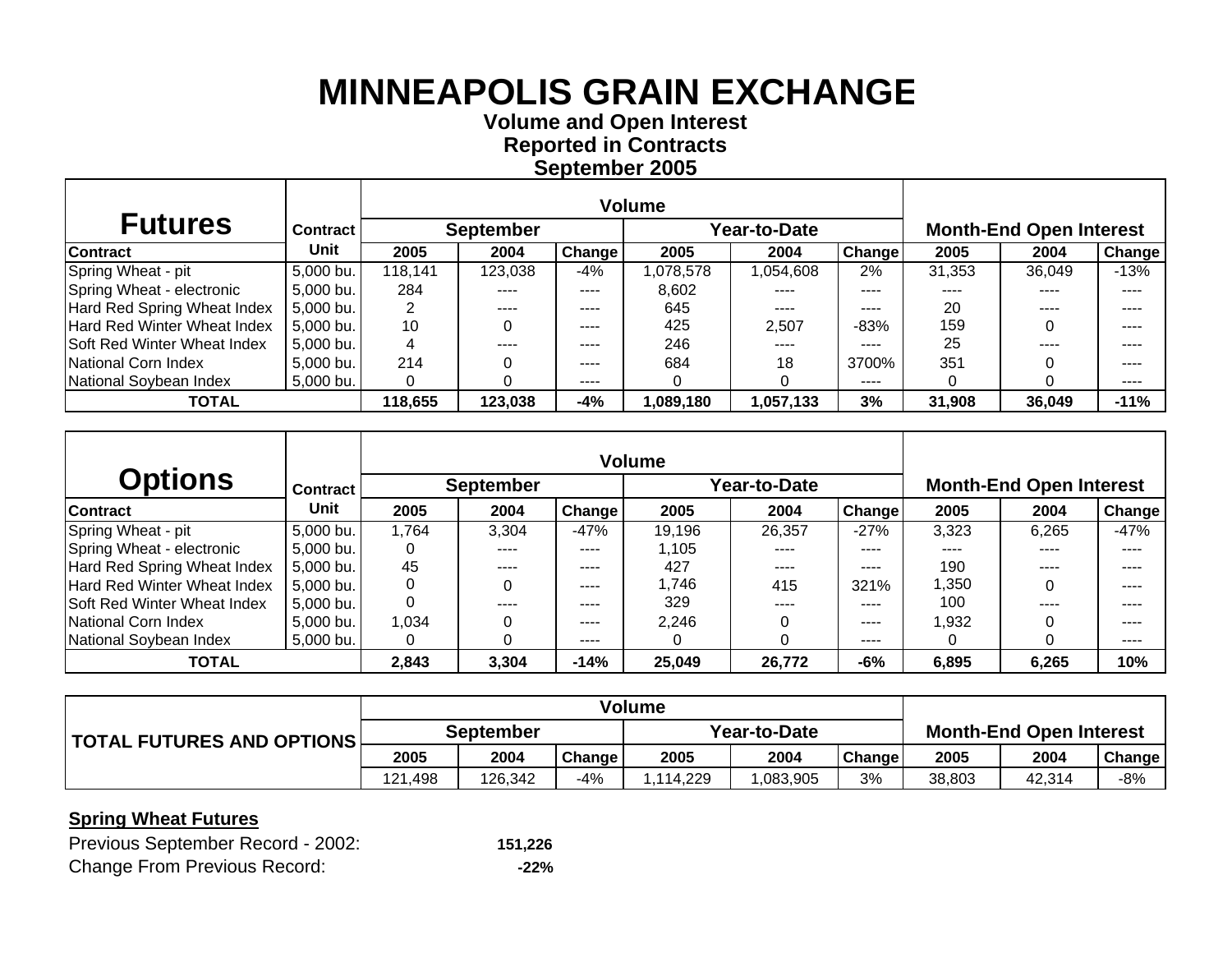**Volume and O pen Interest Re ported in Contracts Se ptember 2005**

| <b>Futures</b>               | <b>Contract</b> |         | <b>September</b> |               |           | Year-to-Date | <b>Month-End Open Interest</b> |        |        |        |
|------------------------------|-----------------|---------|------------------|---------------|-----------|--------------|--------------------------------|--------|--------|--------|
| Contract                     | Unit            | 2005    | 2004             | <b>Change</b> | 2005      | 2004         | <b>Change</b>                  | 2005   | 2004   | Change |
| Spring Wheat - pit           | 5,000 bu.       | 118,141 | 123,038          | -4%           | ,078,578  | 1,054,608    | 2%                             | 31,353 | 36.049 | $-13%$ |
| Spring Wheat - electronic    | 5,000 bu.       | 284     |                  | ----          | 8,602     | ----         | ----                           |        |        | ----   |
| Hard Red Spring Wheat Index  | $5,000$ bu.     |         | ----             | $- - - -$     | 645       | ----         | ----                           | 20     | ----   | ----   |
| Hard Red Winter Wheat Index  | $5,000$ bu.     | 10      |                  | ----          | 425       | 2.507        | $-83%$                         | 159    |        | ----   |
| ISoft Red Winter Wheat Index | $5,000$ bu.     |         |                  | $- - - -$     | 246       | ----         | ----                           | 25     | ----   | ----   |
| National Corn Index          | $5,000$ bu.     | 214     |                  | $- - - -$     | 684       | 18           | 3700%                          | 351    |        | ----   |
| National Soybean Index       | $5,000$ bu.     |         |                  | $- - - -$     |           |              | ----                           |        |        | ----   |
| <b>TOTAL</b>                 |                 | 118,655 | 123,038          | $-4%$         | 1,089,180 | 1,057,133    | 3%                             | 31,908 | 36,049 | $-11%$ |

| <b>Options</b>              | <b>Contract</b> |          | <b>September</b> |        |        | /ear-to-Date |               | <b>Month-End Open Interest</b> |       |        |  |
|-----------------------------|-----------------|----------|------------------|--------|--------|--------------|---------------|--------------------------------|-------|--------|--|
| <b>Contract</b>             | Unit            | 2005     | 2004             | Change | 2005   | 2004         | <b>Change</b> | 2005                           | 2004  | Change |  |
| Spring Wheat - pit          | 5,000 bu.       | 1,764    | 3,304            | $-47%$ | 19,196 | 26,357       | $-27%$        | 3,323                          | 6,265 | $-47%$ |  |
| Spring Wheat - electronic   | 5,000 bu.       | 0        | ----             | ----   | .105   | ----         | ----          | ----                           |       | ----   |  |
| Hard Red Spring Wheat Index | 5.000 bu.       | 45       | ----             | ----   | 427    | ----         | ----          | 190                            | ----  | ----   |  |
| Hard Red Winter Wheat Index | 5,000 bu.       |          |                  | ----   | .746   | 415          | 321%          | 1,350                          |       | ----   |  |
| Soft Red Winter Wheat Index | 5.000 bu.       | $\Omega$ | ----             | ----   | 329    | ----         | ----          | 100                            | ----  | ----   |  |
| National Corn Index         | 5,000 bu.       | 1.034    |                  | ----   | 2,246  |              | ----          | 1,932                          |       | ----   |  |
| National Soybean Index      | 5,000 bu.       | 0        |                  | ----   |        |              | ----          | 0                              |       | ----   |  |
| <b>TOTAL</b>                |                 | 2,843    | 3,304            | $-14%$ | 25,049 | 26,772       | $-6%$         | 6,895                          | 6,265 | 10%    |  |

|                           | Volume           |         |        |              |           |        |                                |        |               |
|---------------------------|------------------|---------|--------|--------------|-----------|--------|--------------------------------|--------|---------------|
| TOTAL FUTURES AND OPTIONS | <b>September</b> |         |        | Year-to-Date |           |        | <b>Month-End Open Interest</b> |        |               |
|                           | 2005             | 2004    | Change | 2005         | 2004      | Change | 2005                           | 2004   | <b>Change</b> |
|                           | 121,498          | 126.342 | -4%    | .114.229     | 1.083.905 | 3%     | 38,803                         | 42.314 | -8%           |

### **Spring Wheat Futures**

| Previous September Record - 2002:   | 151,226 |
|-------------------------------------|---------|
| <b>Change From Previous Record:</b> | -22%    |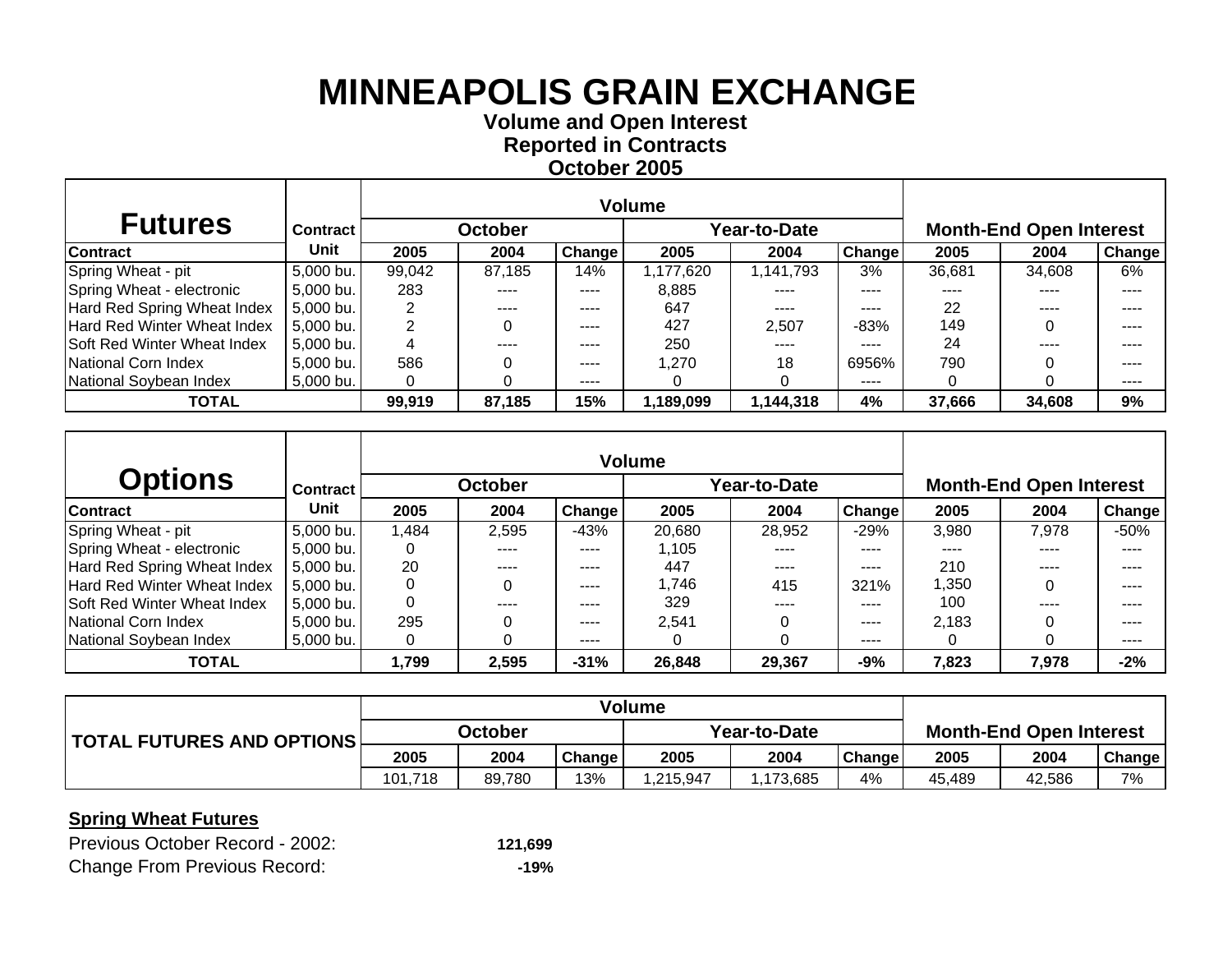**Volume and O pen Interest Re ported in Contracts October 2005**

| <b>Futures</b>               | <b>Contract</b> |        | <b>October</b> |               |          | Year-to-Date |        | <b>Month-End Open Interest</b> |        |        |  |
|------------------------------|-----------------|--------|----------------|---------------|----------|--------------|--------|--------------------------------|--------|--------|--|
| Contract                     | Unit            | 2005   | 2004           | <b>Change</b> | 2005     | 2004         | Change | 2005                           | 2004   | Change |  |
| Spring Wheat - pit           | 5,000 bu.       | 99,042 | 87,185         | 14%           | ,177,620 | 1,141,793    | 3%     | 36,681                         | 34,608 | 6%     |  |
| Spring Wheat - electronic    | 5,000 bu.       | 283    |                | $---$         | 8,885    | ----         | ----   | ----                           | ----   | ----   |  |
| Hard Red Spring Wheat Index  | 5,000 bu.       |        | ----           | ----          | 647      | $- - - -$    | $---$  | 22                             | ----   |        |  |
| Hard Red Winter Wheat Index  | 5,000 bu.       |        |                | $\cdots$      | 427      | 2.507        | $-83%$ | 149                            |        | ----   |  |
| ISoft Red Winter Wheat Index | $5,000$ bu.     |        | ----           | ----          | 250      | $- - - -$    | $---$  | 24                             | ----   | ----   |  |
| INational Corn Index         | 5,000 bu.       | 586    |                | $- - - -$     | 1,270    | 18           | 6956%  | 790                            |        | ----   |  |
| National Soybean Index       | $5,000$ bu.     |        |                | ----          |          |              | $---$  |                                |        | ----   |  |
| <b>TOTAL</b>                 |                 | 99,919 | 87,185         | 15%           | ,189,099 | 1,144,318    | 4%     | 37,666                         | 34,608 | 9%     |  |

| <b>Options</b>              | <b>Contract</b> |      | <b>October</b> |        |        | ear-to-Date |               |       | <b>Month-End Open Interest</b> |        |
|-----------------------------|-----------------|------|----------------|--------|--------|-------------|---------------|-------|--------------------------------|--------|
| <b>Contract</b>             | Unit            | 2005 | 2004           | Change | 2005   | 2004        | <b>Change</b> | 2005  | 2004                           | Change |
| Spring Wheat - pit          | 5,000 bu.       | .484 | 2,595          | $-43%$ | 20,680 | 28,952      | $-29%$        | 3,980 | 7,978                          | $-50%$ |
| Spring Wheat - electronic   | 5,000 bu.       | 0    |                | ----   | 1.105  | ----        | ----          | ----  |                                |        |
| Hard Red Spring Wheat Index | 5,000 bu.       | 20   | ----           | ----   | 447    | $---$       | ----          | 210   | ----                           | ----   |
| Hard Red Winter Wheat Index | 5,000 bu.       | 0    |                | ----   | 1,746  | 415         | 321%          | 1,350 |                                |        |
| Soft Red Winter Wheat Index | 5,000 bu.       | 0    | ----           | ----   | 329    | ----        | ----          | 100   | ----                           | ----   |
| National Corn Index         | 5,000 bu.       | 295  |                | ----   | 2,541  |             | ----          | 2,183 |                                | ----   |
| National Soybean Index      | 5,000 bu.       | 0    |                | ----   |        |             | ----          | 0     |                                | ----   |
| <b>TOTAL</b>                |                 | ,799 | 2,595          | $-31%$ | 26,848 | 29,367      | $-9%$         | 7,823 | 7,978                          | $-2%$  |

|                           | <b>Volume</b> |        |        |              |         |               |                                |        |        |
|---------------------------|---------------|--------|--------|--------------|---------|---------------|--------------------------------|--------|--------|
| TOTAL FUTURES AND OPTIONS | October       |        |        | Year-to-Date |         |               | <b>Month-End Open Interest</b> |        |        |
|                           | 2005          | 2004   | Change | 2005         | 2004    | <b>Change</b> | 2005                           | 2004   | Change |
|                           | 101<br>.718   | 89.780 | 13%    | ,215,947     | 173,685 | 4%            | 45.489                         | 42.586 | 7%     |

### **Spring Wheat Futures**

| Previous October Record - 2002:     | 121,699 |
|-------------------------------------|---------|
| <b>Change From Previous Record:</b> | -19%    |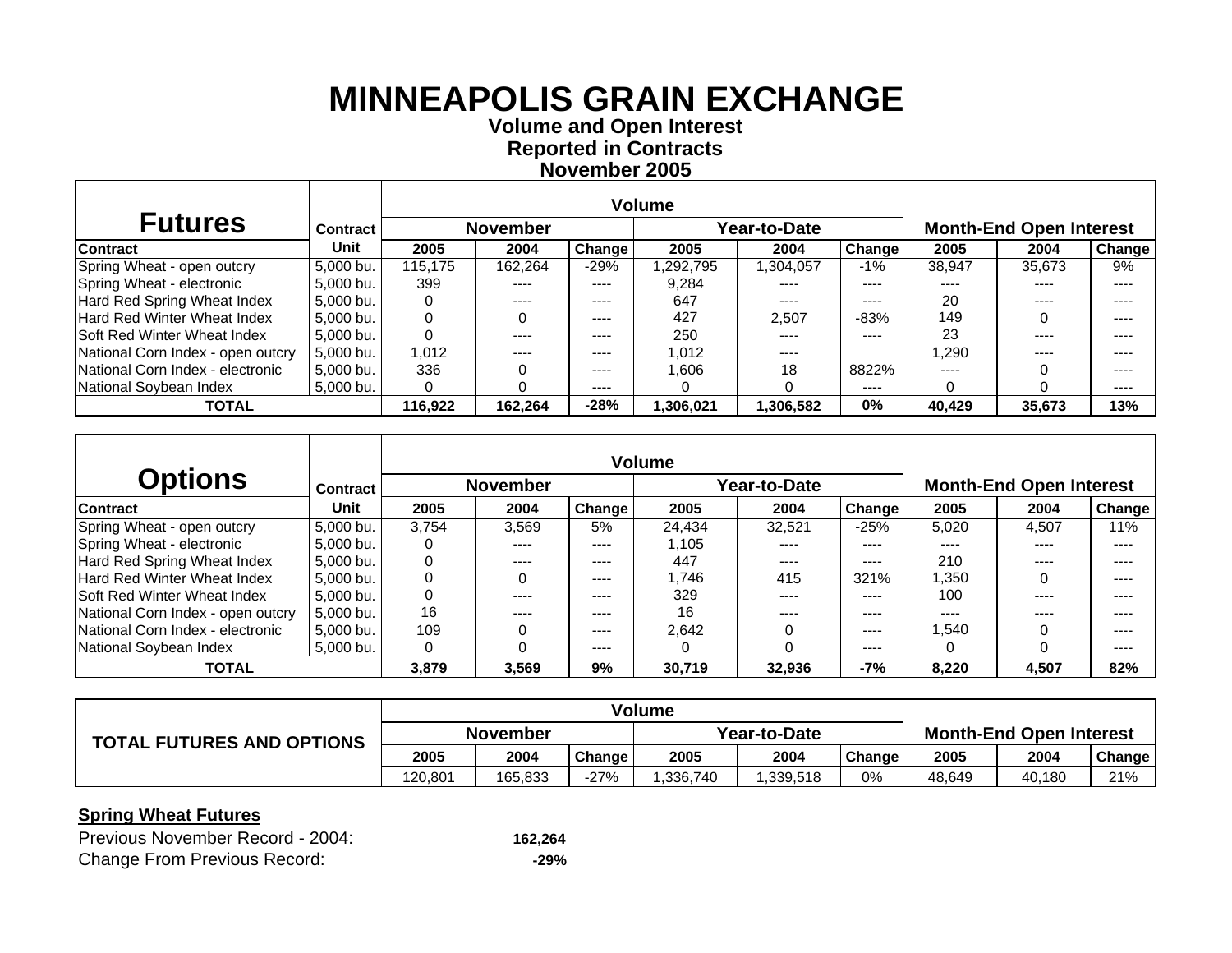**Volume and O pen Interest Re ported in Contracts November 2005**

| <b>Futures</b>                     | <b>Contract</b> |         | <b>November</b> |           |           | Year-to-Date |               | <b>Month-End Open Interest</b> |           |        |  |
|------------------------------------|-----------------|---------|-----------------|-----------|-----------|--------------|---------------|--------------------------------|-----------|--------|--|
| <b>Contract</b>                    | Unit            | 2005    | 2004            | Change    | 2005      | 2004         | <b>Change</b> | 2005                           | 2004      | Change |  |
| Spring Wheat - open outcry         | 5.000 bu.       | 115.175 | 162.264         | $-29%$    | ,292,795  | ,304,057     | $-1%$         | 38.947                         | 35,673    | 9%     |  |
| Spring Wheat - electronic          | 5,000 bu.       | 399     | ----            | ----      | 9.284     | ----         | ----          | ----                           | ----      |        |  |
| Hard Red Spring Wheat Index        | 5.000 bu.       | 0       | $\frac{1}{2}$   | $- - - -$ | 647       | ----         | ----          | 20                             | $- - - -$ |        |  |
| Hard Red Winter Wheat Index        | 5.000 bu.       | 0       |                 | ----      | 427       | 2,507        | $-83%$        | 149                            |           |        |  |
| <b>Soft Red Winter Wheat Index</b> | 5.000 bu.       | 0       | ----            | ----      | 250       | ----         | ----          | 23                             | ----      |        |  |
| National Corn Index - open outcry  | 5.000 bu.       | 1.012   | ----            | ----      | 1.012     | ----         |               | 290.ا                          |           |        |  |
| National Corn Index - electronic   | 5,000 bu.       | 336     |                 | ----      | 1.606     | 18           | 8822%         | $- - - -$                      |           |        |  |
| National Soybean Index             | 5,000 bu.       | 0       |                 | ----      |           |              | ----          |                                |           |        |  |
| <b>TOTAL</b>                       |                 | 116,922 | 162,264         | $-28%$    | 1,306,021 | ,306,582     | $0\%$         | 40,429                         | 35,673    | 13%    |  |

|                                    |                 |          |                 |                       | <b>Volume</b> |              |                       |       |                                |        |
|------------------------------------|-----------------|----------|-----------------|-----------------------|---------------|--------------|-----------------------|-------|--------------------------------|--------|
| <b>Options</b>                     | <b>Contract</b> |          | <b>November</b> |                       |               | Year-to-Date |                       |       | <b>Month-End Open Interest</b> |        |
| <b>Contract</b>                    | Unit            | 2005     | 2004            | Change                | 2005          | 2004         | Change                | 2005  | 2004                           | Change |
| Spring Wheat - open outcry         | 5.000 bu.       | 3.754    | 3.569           | 5%                    | 24,434        | 32,521       | $-25%$                | 5.020 | 4.507                          | 11%    |
| Spring Wheat - electronic          | 5,000 bu.       |          | $---$           | ----                  | 1.105         | $---$        | $\qquad \qquad - - -$ | $---$ | ----                           | ----   |
| Hard Red Spring Wheat Index        | 5.000 bu.       | 0        |                 | $- - - -$             | 447           | ----         | $---$                 | 210   |                                |        |
| <b>Hard Red Winter Wheat Index</b> | 5.000 bu.       |          |                 | $\qquad \qquad - - -$ | 1,746         | 415          | 321%                  | 1.350 |                                | ----   |
| <b>Soft Red Winter Wheat Index</b> | 5.000 bu.       | $\Omega$ | ----            | $- - - -$             | 329           | ----         | ----                  | 100   | ----                           |        |
| National Corn Index - open outcry  | 5.000 bu.       | 16       | ----            | ----                  | 16            | ----         | ----                  | ----  |                                |        |
| National Corn Index - electronic   | 5.000 bu.       | 109      |                 | $\qquad \qquad - - -$ | 2.642         |              | ----                  | .540  |                                |        |
| National Sovbean Index             | 5.000 bu.       | 0        |                 | ----                  |               |              | ----                  |       |                                | ----   |
| <b>TOTAL</b>                       |                 | 3,879    | 3,569           | 9%                    | 30,719        | 32,936       | $-7%$                 | 8,220 | 4,507                          | 82%    |

|                                  | <b>Volume</b>   |         |        |              |          |        |                                |        |        |
|----------------------------------|-----------------|---------|--------|--------------|----------|--------|--------------------------------|--------|--------|
| <b>TOTAL FUTURES AND OPTIONS</b> | <b>November</b> |         |        | Year-to-Date |          |        | <b>Month-End Open Interest</b> |        |        |
|                                  | 2005            | 2004    | Change | 2005         | 2004     | Change | 2005                           | 2004   | Change |
|                                  | 120.801         | 165.833 | $-27%$ | .336.740     | .339,518 | 0%     | 48.649                         | 40,180 | 21%    |

| Previous November Record - 2004:    | 162,264 |
|-------------------------------------|---------|
| <b>Change From Previous Record:</b> | $-29%$  |